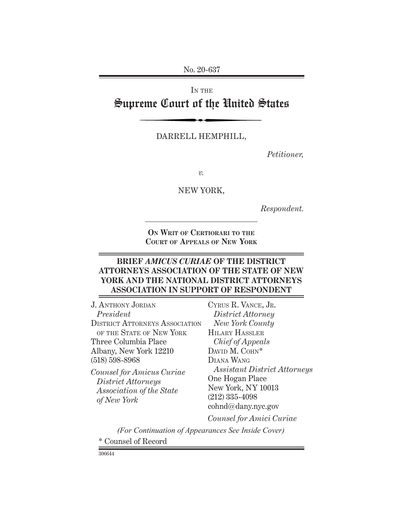No. 20-637

IN THE

# Supreme Court of the United States

### DARRELL HEMPHILL,

*Petitioner,*

*v.*

#### NEW YORK,

*Respondent.*

**On Writ of Certiorari to the Court of Appeals of New York**

## **BRIEF** *AMICUS CURIAE* **OF THE DISTRICT ATTORNEYS ASSOCIATION OF THE STATE OF NEW YORK AND THE NATIONAL DISTRICT ATTORNEYS ASSOCIATION IN SUPPORT OF RESPONDENT**

J. ANTHONY JORDAN *President* DISTRICT ATTORNEYS ASSOCIATION OF THE STATE OF NEW YORK Three Columbia Place Albany, New York 12210 (518) 598-8968

*Counsel for Amicus Curiae District Attorneys Association of the State of New York*

Cyrus R. Vance, Jr. *District Attorney New York County* Hilary Hassler *Chief of Appeals* DAVID M. COHN\* Diana Wang *Assistant District Attorneys* One Hogan Place New York, NY 10013 (212) 335-4098 cohnd@dany.nyc.gov *Counsel for Amici Curiae*

\* Counsel of Record *(For Continuation of Appearances See Inside Cover)*

306644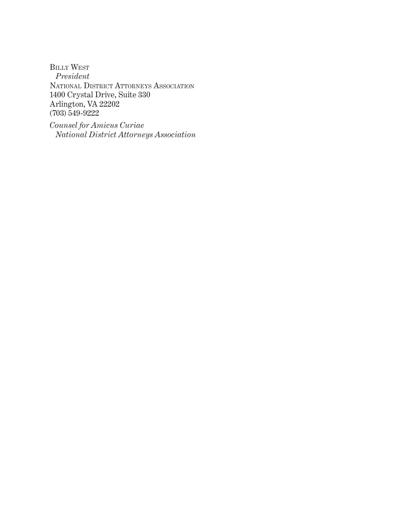Billy West *President* National District Attorneys Association 1400 Crystal Drive, Suite 330 Arlington, VA 22202 (703) 549-9222

*Counsel for Amicus Curiae National District Attorneys Association*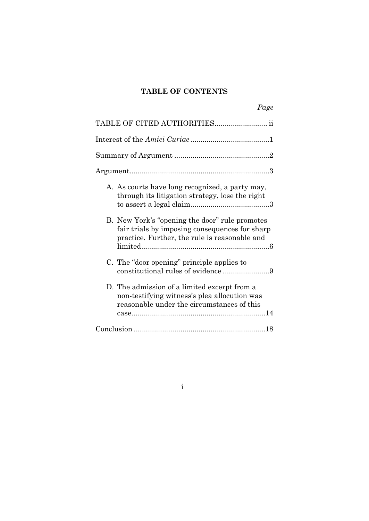## **TABLE OF CONTENTS**

| Page                                                                                                                                              |
|---------------------------------------------------------------------------------------------------------------------------------------------------|
| TABLE OF CITED AUTHORITIES ii                                                                                                                     |
|                                                                                                                                                   |
|                                                                                                                                                   |
|                                                                                                                                                   |
| A. As courts have long recognized, a party may,<br>through its litigation strategy, lose the right                                                |
| B. New York's "opening the door" rule promotes<br>fair trials by imposing consequences for sharp<br>practice. Further, the rule is reasonable and |
| C. The "door opening" principle applies to<br>constitutional rules of evidence 9                                                                  |
| D. The admission of a limited excerpt from a<br>non-testifying witness's plea allocution was<br>reasonable under the circumstances of this        |
|                                                                                                                                                   |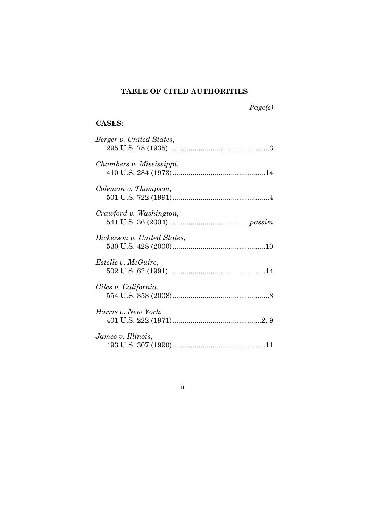## **TABLE OF CITED AUTHORITIES**

*Page(s)* 

## **CASES:**

| Berger v. United States,    |
|-----------------------------|
| Chambers v. Mississippi,    |
| Coleman v. Thompson,        |
| Crawford v. Washington,     |
| Dickerson v. United States, |
| <i>Estelle v. McGuire,</i>  |
| Giles v. California,        |
| Harris v. New York,         |
| James v. Illinois,          |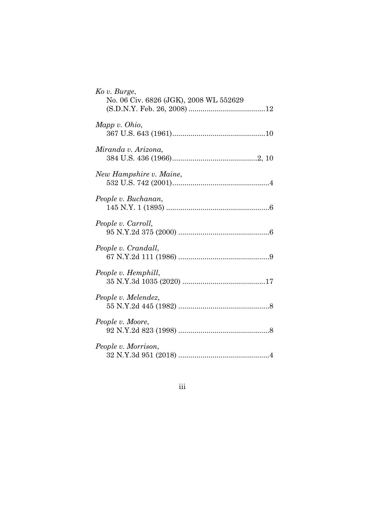| Ko v. Burge,<br>No. 06 Civ. 6826 (JGK), 2008 WL 552629 |
|--------------------------------------------------------|
| Mapp v. Ohio,                                          |
| Miranda v. Arizona,                                    |
| New Hampshire v. Maine,                                |
| People v. Buchanan,                                    |
| People v. Carroll,                                     |
| People v. Crandall,                                    |
| People v. Hemphill,                                    |
| People v. Melendez,                                    |
| People v. Moore,                                       |
| People v. Morrison,                                    |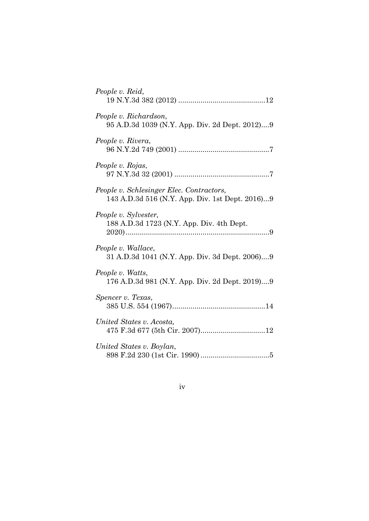| People v. Reid,                                                                             |
|---------------------------------------------------------------------------------------------|
| People v. Richardson,<br>95 A.D.3d 1039 (N.Y. App. Div. 2d Dept. 2012)9                     |
| People v. Rivera,                                                                           |
| People v. Rojas,                                                                            |
| People v. Schlesinger Elec. Contractors,<br>143 A.D.3d 516 (N.Y. App. Div. 1st Dept. 2016)9 |
| People v. Sylvester,<br>188 A.D.3d 1723 (N.Y. App. Div. 4th Dept.                           |
| People v. Wallace,<br>31 A.D.3d 1041 (N.Y. App. Div. 3d Dept. 2006)9                        |
| People v. Watts,<br>176 A.D.3d 981 (N.Y. App. Div. 2d Dept. 2019)9                          |
| Spencer v. Texas,                                                                           |
| United States v. Acosta,                                                                    |
| United States v. Boylan,                                                                    |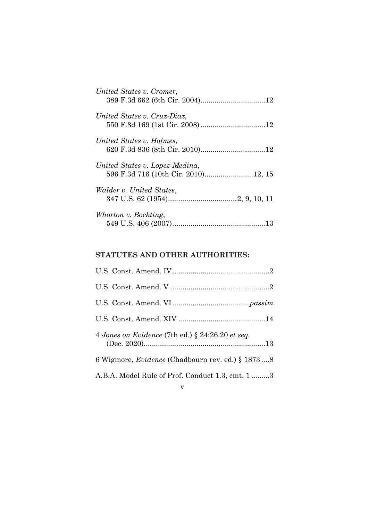| United States v. Cromer,       |
|--------------------------------|
| United States v. Cruz-Diaz.    |
| United States v. Holmes,       |
| United States v. Lopez-Medina, |
| Walder v. United States,       |
| Whorton v. Bockting,           |

## **STATUTES AND OTHER AUTHORITIES:**

| 4 Jones on Evidence (7th ed.) $\S$ 24:26.20 et seq.     |
|---------------------------------------------------------|
| 6 Wigmore, <i>Evidence</i> (Chadbourn rev. ed.) § 18738 |
| A.B.A. Model Rule of Prof. Conduct 1.3, cmt. 13         |
| $\mathbf v$                                             |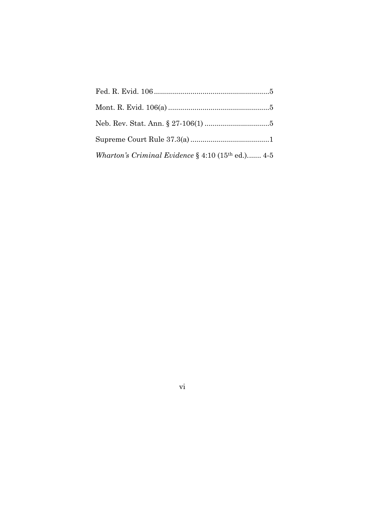| Wharton's Criminal Evidence $\S$ 4:10 (15 <sup>th</sup> ed.) 4-5 |
|------------------------------------------------------------------|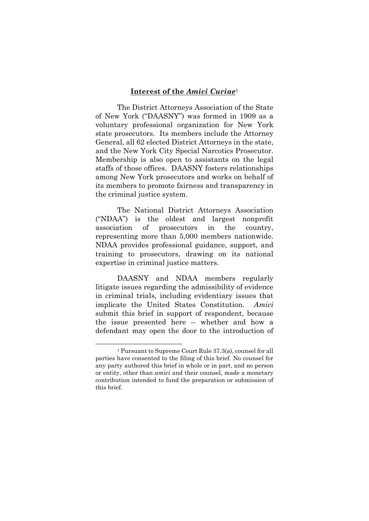#### **Interest of the** *Amici Curiae*<sup>1</sup>

The District Attorneys Association of the State of New York ("DAASNY") was formed in 1909 as a voluntary professional organization for New York state prosecutors. Its members include the Attorney General, all 62 elected District Attorneys in the state, and the New York City Special Narcotics Prosecutor. Membership is also open to assistants on the legal staffs of those offices. DAASNY fosters relationships among New York prosecutors and works on behalf of its members to promote fairness and transparency in the criminal justice system.

The National District Attorneys Association ("NDAA") is the oldest and largest nonprofit association of prosecutors in the country, representing more than 5,000 members nationwide. NDAA provides professional guidance, support, and training to prosecutors, drawing on its national expertise in criminal justice matters.

DAASNY and NDAA members regularly litigate issues regarding the admissibility of evidence in criminal trials, including evidentiary issues that implicate the United States Constitution. *Amici* submit this brief in support of respondent, because the issue presented here -- whether and how a defendant may open the door to the introduction of

<sup>1</sup> Pursuant to Supreme Court Rule 37.3(a), counsel for all parties have consented to the filing of this brief. No counsel for any party authored this brief in whole or in part, and no person or entity, other than *amici* and their counsel, made a monetary contribution intended to fund the preparation or submission of this brief.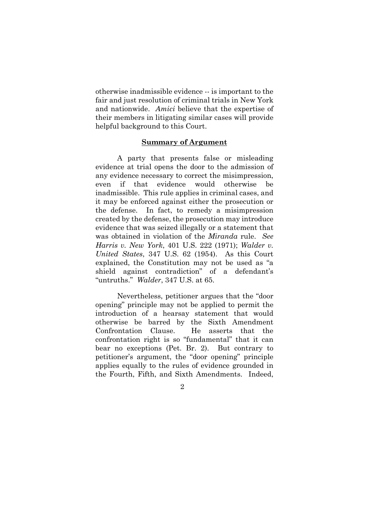otherwise inadmissible evidence -- is important to the fair and just resolution of criminal trials in New York and nationwide. *Amici* believe that the expertise of their members in litigating similar cases will provide helpful background to this Court.

#### **Summary of Argument**

A party that presents false or misleading evidence at trial opens the door to the admission of any evidence necessary to correct the misimpression, even if that evidence would otherwise be inadmissible. This rule applies in criminal cases, and it may be enforced against either the prosecution or the defense. In fact, to remedy a misimpression created by the defense, the prosecution may introduce evidence that was seized illegally or a statement that was obtained in violation of the *Miranda* rule. *See Harris v. New York*, 401 U.S. 222 (1971); *Walder v. United States*, 347 U.S. 62 (1954). As this Court explained, the Constitution may not be used as "a shield against contradiction" of a defendant's "untruths." *Walder*, 347 U.S. at 65.

Nevertheless, petitioner argues that the "door opening" principle may not be applied to permit the introduction of a hearsay statement that would otherwise be barred by the Sixth Amendment Confrontation Clause. He asserts that the confrontation right is so "fundamental" that it can bear no exceptions (Pet. Br. 2). But contrary to petitioner's argument, the "door opening" principle applies equally to the rules of evidence grounded in the Fourth, Fifth, and Sixth Amendments. Indeed,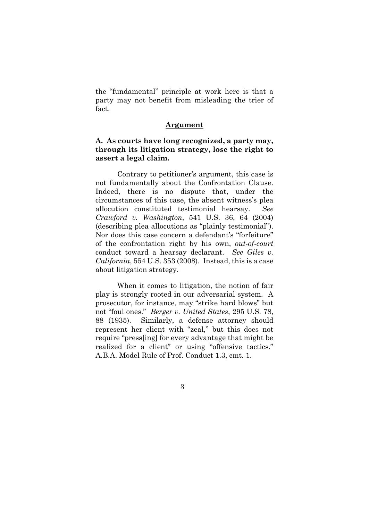the "fundamental" principle at work here is that a party may not benefit from misleading the trier of fact.

#### **Argument**

### **A. As courts have long recognized, a party may, through its litigation strategy, lose the right to assert a legal claim.**

Contrary to petitioner's argument, this case is not fundamentally about the Confrontation Clause. Indeed, there is no dispute that, under the circumstances of this case, the absent witness's plea allocution constituted testimonial hearsay. *See Crawford v. Washington*, 541 U.S. 36, 64 (2004) (describing plea allocutions as "plainly testimonial"). Nor does this case concern a defendant's "forfeiture" of the confrontation right by his own, *out-of-court* conduct toward a hearsay declarant. *See Giles v. California*, 554 U.S. 353 (2008). Instead, this is a case about litigation strategy.

When it comes to litigation, the notion of fair play is strongly rooted in our adversarial system. A prosecutor, for instance, may "strike hard blows" but not "foul ones." *Berger v. United States*, 295 U.S. 78, 88 (1935). Similarly, a defense attorney should represent her client with "zeal," but this does not require "press[ing] for every advantage that might be realized for a client" or using "offensive tactics." A.B.A. Model Rule of Prof. Conduct 1.3, cmt. 1.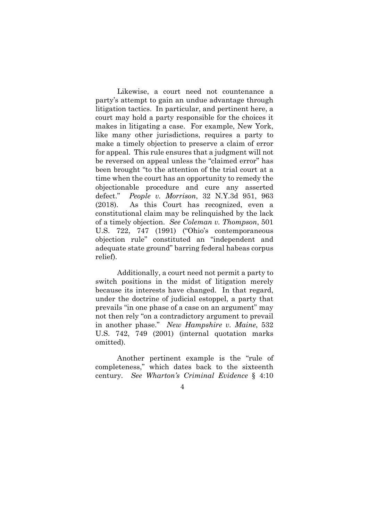Likewise, a court need not countenance a party's attempt to gain an undue advantage through litigation tactics. In particular, and pertinent here, a court may hold a party responsible for the choices it makes in litigating a case. For example, New York, like many other jurisdictions, requires a party to make a timely objection to preserve a claim of error for appeal. This rule ensures that a judgment will not be reversed on appeal unless the "claimed error" has been brought "to the attention of the trial court at a time when the court has an opportunity to remedy the objectionable procedure and cure any asserted defect." *People v. Morrison*, 32 N.Y.3d 951, 963 (2018). As this Court has recognized, even a constitutional claim may be relinquished by the lack of a timely objection. *See Coleman v. Thompson*, 501 U.S. 722, 747 (1991) ("Ohio's contemporaneous objection rule" constituted an "independent and adequate state ground" barring federal habeas corpus relief).

Additionally, a court need not permit a party to switch positions in the midst of litigation merely because its interests have changed. In that regard, under the doctrine of judicial estoppel, a party that prevails "in one phase of a case on an argument" may not then rely "on a contradictory argument to prevail in another phase." *New Hampshire v. Maine*, 532 U.S. 742, 749 (2001) (internal quotation marks omitted).

Another pertinent example is the "rule of completeness," which dates back to the sixteenth century. *See Wharton's Criminal Evidence* § 4:10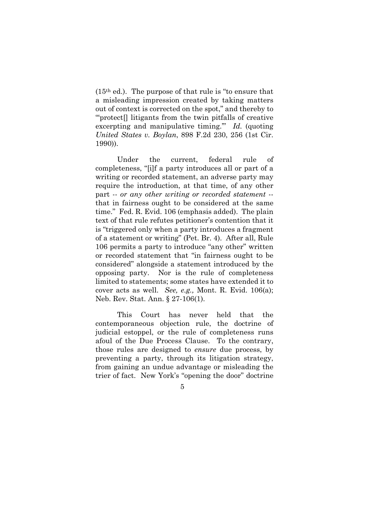(15th ed.). The purpose of that rule is "to ensure that a misleading impression created by taking matters out of context is corrected on the spot," and thereby to "'protect[] litigants from the twin pitfalls of creative excerpting and manipulative timing.'" *Id.* (quoting *United States v. Boylan*, 898 F.2d 230, 256 (1st Cir. 1990)).

Under the current, federal rule of completeness, "[i]f a party introduces all or part of a writing or recorded statement, an adverse party may require the introduction, at that time, of any other part -- *or any other writing or recorded statement* - that in fairness ought to be considered at the same time." Fed. R. Evid. 106 (emphasis added). The plain text of that rule refutes petitioner's contention that it is "triggered only when a party introduces a fragment of a statement or writing" (Pet. Br. 4). After all, Rule 106 permits a party to introduce "any other" written or recorded statement that "in fairness ought to be considered" alongside a statement introduced by the opposing party. Nor is the rule of completeness limited to statements; some states have extended it to cover acts as well. *See, e.g.,* Mont. R. Evid. 106(a); Neb. Rev. Stat. Ann. § 27-106(1).

This Court has never held that the contemporaneous objection rule, the doctrine of judicial estoppel, or the rule of completeness runs afoul of the Due Process Clause. To the contrary, those rules are designed to *ensure* due process, by preventing a party, through its litigation strategy, from gaining an undue advantage or misleading the trier of fact. New York's "opening the door" doctrine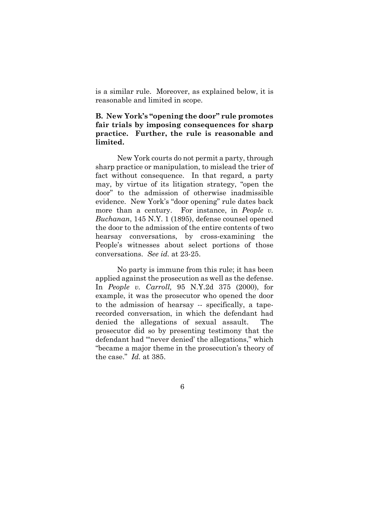is a similar rule. Moreover, as explained below, it is reasonable and limited in scope.

## **B. New York's "opening the door" rule promotes fair trials by imposing consequences for sharp practice. Further, the rule is reasonable and limited.**

New York courts do not permit a party, through sharp practice or manipulation, to mislead the trier of fact without consequence. In that regard, a party may, by virtue of its litigation strategy, "open the door" to the admission of otherwise inadmissible evidence. New York's "door opening" rule dates back more than a century. For instance, in *People v. Buchanan*, 145 N.Y. 1 (1895), defense counsel opened the door to the admission of the entire contents of two hearsay conversations, by cross-examining the People's witnesses about select portions of those conversations. *See id.* at 23-25.

No party is immune from this rule; it has been applied against the prosecution as well as the defense. In *People v. Carroll,* 95 N.Y.2d 375 (2000), for example, it was the prosecutor who opened the door to the admission of hearsay -- specifically, a taperecorded conversation, in which the defendant had denied the allegations of sexual assault. The prosecutor did so by presenting testimony that the defendant had "'never denied' the allegations," which "became a major theme in the prosecution's theory of the case." *Id.* at 385.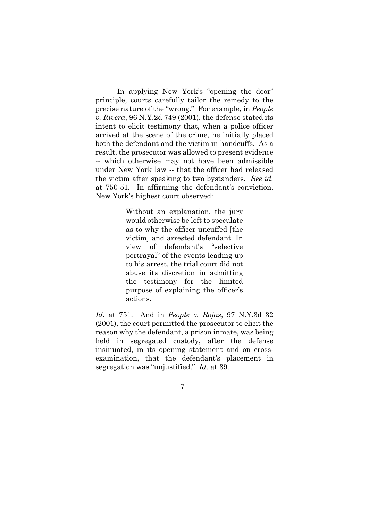In applying New York's "opening the door" principle, courts carefully tailor the remedy to the precise nature of the "wrong." For example, in *People v. Rivera*, 96 N.Y.2d 749 (2001), the defense stated its intent to elicit testimony that, when a police officer arrived at the scene of the crime, he initially placed both the defendant and the victim in handcuffs. As a result, the prosecutor was allowed to present evidence -- which otherwise may not have been admissible under New York law -- that the officer had released the victim after speaking to two bystanders. *See id.*  at 750-51*.* In affirming the defendant's conviction, New York's highest court observed:

> Without an explanation, the jury would otherwise be left to speculate as to why the officer uncuffed [the victim] and arrested defendant. In view of defendant's "selective portrayal" of the events leading up to his arrest, the trial court did not abuse its discretion in admitting the testimony for the limited purpose of explaining the officer's actions.

*Id.* at 751. And in *People v. Rojas*, 97 N.Y.3d 32 (2001), the court permitted the prosecutor to elicit the reason why the defendant, a prison inmate, was being held in segregated custody, after the defense insinuated, in its opening statement and on crossexamination, that the defendant's placement in segregation was "unjustified." *Id.* at 39.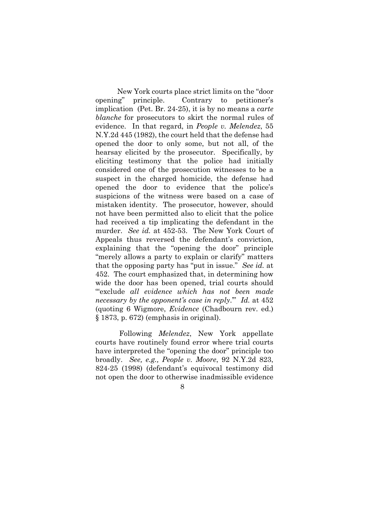New York courts place strict limits on the "door opening" principle. Contrary to petitioner's implication (Pet. Br. 24-25), it is by no means a *carte blanche* for prosecutors to skirt the normal rules of evidence. In that regard, in *People v. Melendez*, 55 N.Y.2d 445 (1982), the court held that the defense had opened the door to only some, but not all, of the hearsay elicited by the prosecutor. Specifically, by eliciting testimony that the police had initially considered one of the prosecution witnesses to be a suspect in the charged homicide, the defense had opened the door to evidence that the police's suspicions of the witness were based on a case of mistaken identity. The prosecutor, however, should not have been permitted also to elicit that the police had received a tip implicating the defendant in the murder. *See id.* at 452-53. The New York Court of Appeals thus reversed the defendant's conviction, explaining that the "opening the door" principle "merely allows a party to explain or clarify" matters that the opposing party has "put in issue." *See id.* at 452. The court emphasized that, in determining how wide the door has been opened, trial courts should "'exclude *all evidence which has not been made necessary by the opponent's case in reply*.'" *Id.* at 452 (quoting 6 Wigmore, *Evidence* (Chadbourn rev. ed.) § 1873, p. 672) (emphasis in original).

 Following *Melendez*, New York appellate courts have routinely found error where trial courts have interpreted the "opening the door" principle too broadly. *See, e.g., People v. Moore*, 92 N.Y.2d 823, 824-25 (1998) (defendant's equivocal testimony did not open the door to otherwise inadmissible evidence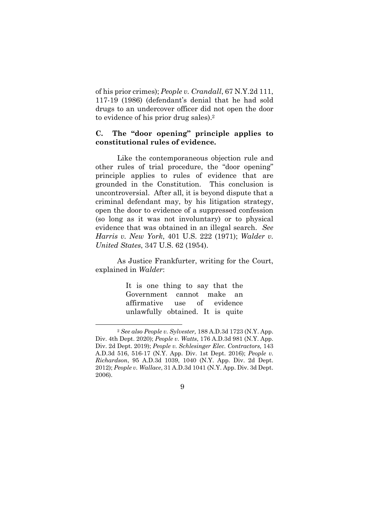of his prior crimes); *People v. Crandall*, 67 N.Y.2d 111, 117-19 (1986) (defendant's denial that he had sold drugs to an undercover officer did not open the door to evidence of his prior drug sales).2

### **C. The "door opening" principle applies to constitutional rules of evidence.**

Like the contemporaneous objection rule and other rules of trial procedure, the "door opening" principle applies to rules of evidence that are grounded in the Constitution. This conclusion is uncontroversial. After all, it is beyond dispute that a criminal defendant may, by his litigation strategy, open the door to evidence of a suppressed confession (so long as it was not involuntary) or to physical evidence that was obtained in an illegal search. *See Harris v. New York*, 401 U.S. 222 (1971); *Walder v. United States*, 347 U.S. 62 (1954).

As Justice Frankfurter, writing for the Court, explained in *Walder*:

> It is one thing to say that the Government cannot make an affirmative use of evidence unlawfully obtained. It is quite

<sup>2</sup> *See also People v. Sylvester,* 188 A.D.3d 1723 (N.Y. App. Div. 4th Dept. 2020); *People v. Watts*, 176 A.D.3d 981 (N.Y. App. Div. 2d Dept. 2019); *People v. Schlesinger Elec. Contractors,* 143 A.D.3d 516, 516-17 (N.Y. App. Div. 1st Dept. 2016); *People v. Richardson*, 95 A.D.3d 1039, 1040 (N.Y. App. Div. 2d Dept. 2012); *People v. Wallace*, 31 A.D.3d 1041 (N.Y. App. Div. 3d Dept. 2006).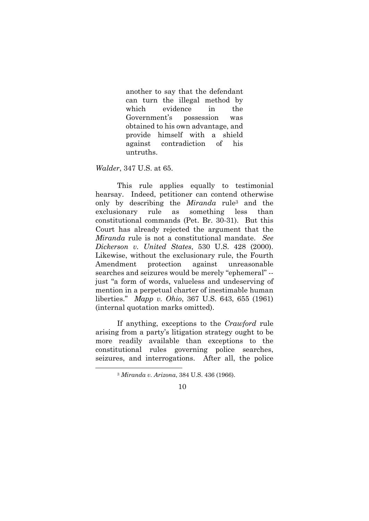another to say that the defendant can turn the illegal method by which evidence in the Government's possession was obtained to his own advantage, and provide himself with a shield against contradiction of his untruths.

*Walder*, 347 U.S. at 65.

This rule applies equally to testimonial hearsay. Indeed, petitioner can contend otherwise only by describing the *Miranda* rule3 and the exclusionary rule as something less than constitutional commands (Pet. Br. 30-31). But this Court has already rejected the argument that the *Miranda* rule is not a constitutional mandate. *See Dickerson v. United States*, 530 U.S. 428 (2000). Likewise, without the exclusionary rule, the Fourth Amendment protection against unreasonable searches and seizures would be merely "ephemeral" - just "a form of words, valueless and undeserving of mention in a perpetual charter of inestimable human liberties." *Mapp v. Ohio*, 367 U.S. 643, 655 (1961) (internal quotation marks omitted).

If anything, exceptions to the *Crawford* rule arising from a party's litigation strategy ought to be more readily available than exceptions to the constitutional rules governing police searches, seizures, and interrogations. After all, the police

<sup>3</sup> *Miranda v. Arizona*, 384 U.S. 436 (1966).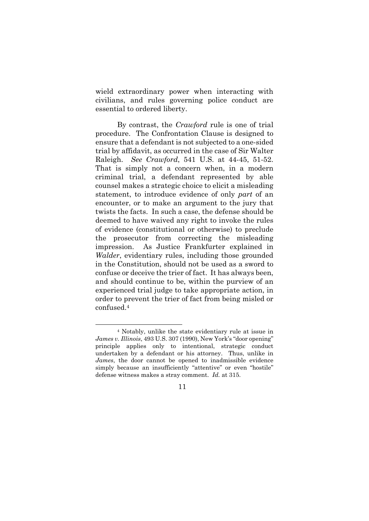wield extraordinary power when interacting with civilians, and rules governing police conduct are essential to ordered liberty.

By contrast, the *Crawford* rule is one of trial procedure. The Confrontation Clause is designed to ensure that a defendant is not subjected to a one-sided trial by affidavit, as occurred in the case of Sir Walter Raleigh. *See Crawford*, 541 U.S. at 44-45, 51-52. That is simply not a concern when, in a modern criminal trial, a defendant represented by able counsel makes a strategic choice to elicit a misleading statement, to introduce evidence of only *part* of an encounter, or to make an argument to the jury that twists the facts. In such a case, the defense should be deemed to have waived any right to invoke the rules of evidence (constitutional or otherwise) to preclude the prosecutor from correcting the misleading impression. As Justice Frankfurter explained in *Walder*, evidentiary rules, including those grounded in the Constitution, should not be used as a sword to confuse or deceive the trier of fact. It has always been, and should continue to be, within the purview of an experienced trial judge to take appropriate action, in order to prevent the trier of fact from being misled or confused.4

<sup>4</sup> Notably, unlike the state evidentiary rule at issue in *James v. Illinois*, 493 U.S. 307 (1990), New York's "door opening" principle applies only to intentional, strategic conduct undertaken by a defendant or his attorney. Thus, unlike in *James*, the door cannot be opened to inadmissible evidence simply because an insufficiently "attentive" or even "hostile" defense witness makes a stray comment. *Id.* at 315.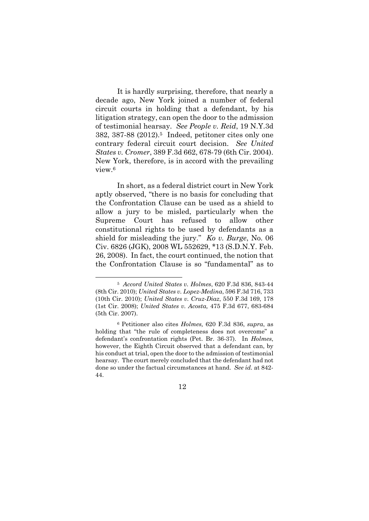It is hardly surprising, therefore, that nearly a decade ago, New York joined a number of federal circuit courts in holding that a defendant, by his litigation strategy, can open the door to the admission of testimonial hearsay. *See People v. Reid*, 19 N.Y.3d 382, 387-88 (2012).5 Indeed, petitoner cites only one contrary federal circuit court decision. *See United States v. Cromer*, 389 F.3d 662, 678-79 (6th Cir. 2004). New York, therefore, is in accord with the prevailing view.6

In short, as a federal district court in New York aptly observed, "there is no basis for concluding that the Confrontation Clause can be used as a shield to allow a jury to be misled, particularly when the Supreme Court has refused to allow other constitutional rights to be used by defendants as a shield for misleading the jury." *Ko v. Burge*, No. 06 Civ. 6826 (JGK), 2008 WL 552629, \*13 (S.D.N.Y. Feb. 26, 2008). In fact, the court continued, the notion that the Confrontation Clause is so "fundamental" as to

<sup>5</sup> *Accord United States v. Holmes*, 620 F.3d 836, 843-44 (8th Cir. 2010); *United States v. Lopez-Medina*, 596 F.3d 716, 733 (10th Cir. 2010); *United States v. Cruz-Diaz*, 550 F.3d 169, 178 (1st Cir. 2008); *United States v. Acosta,* 475 F.3d 677, 683-684 (5th Cir. 2007).

<sup>6</sup> Petitioner also cites *Holmes,* 620 F.3d 836, *supra*, as holding that "the rule of completeness does not overcome" a defendant's confrontation rights (Pet. Br. 36-37). In *Holmes*, however, the Eighth Circuit observed that a defendant can, by his conduct at trial, open the door to the admission of testimonial hearsay. The court merely concluded that the defendant had not done so under the factual circumstances at hand. *See id.* at 842- 44.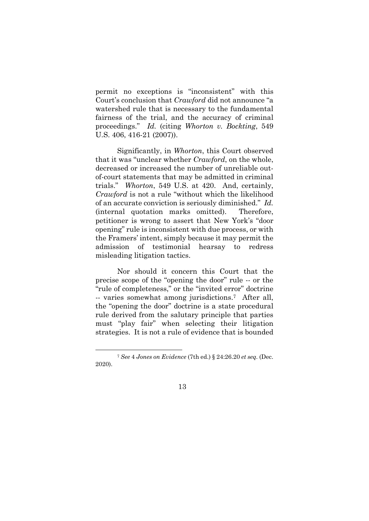permit no exceptions is "inconsistent" with this Court's conclusion that *Crawford* did not announce "a watershed rule that is necessary to the fundamental fairness of the trial, and the accuracy of criminal proceedings." *Id.* (citing *Whorton v. Bockting*, 549 U.S. 406, 416-21 (2007)).

Significantly, in *Whorton*, this Court observed that it was "unclear whether *Crawford*, on the whole, decreased or increased the number of unreliable outof-court statements that may be admitted in criminal trials." *Whorton*, 549 U.S. at 420. And, certainly, *Crawford* is not a rule "without which the likelihood of an accurate conviction is seriously diminished." *Id.* (internal quotation marks omitted). Therefore, petitioner is wrong to assert that New York's "door opening" rule is inconsistent with due process, or with the Framers' intent, simply because it may permit the admission of testimonial hearsay to redress misleading litigation tactics.

Nor should it concern this Court that the precise scope of the "opening the door" rule -- or the "rule of completeness," or the "invited error" doctrine -- varies somewhat among jurisdictions.7 After all, the "opening the door" doctrine is a state procedural rule derived from the salutary principle that parties must "play fair" when selecting their litigation strategies. It is not a rule of evidence that is bounded

<sup>7</sup> *See* 4 *Jones on Evidence* (7th ed.) § 24:26.20 *et seq.* (Dec. 2020).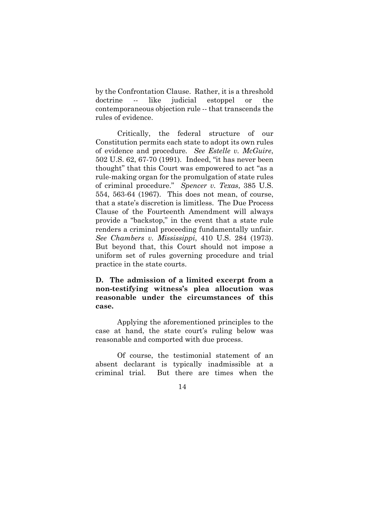by the Confrontation Clause. Rather, it is a threshold doctrine -- like judicial estoppel or the contemporaneous objection rule -- that transcends the rules of evidence.

Critically, the federal structure of our Constitution permits each state to adopt its own rules of evidence and procedure*. See Estelle v. McGuire*, 502 U.S. 62, 67-70 (1991). Indeed, "it has never been thought" that this Court was empowered to act "as a rule-making organ for the promulgation of state rules of criminal procedure." *Spencer v. Texas*, 385 U.S. 554, 563-64 (1967). This does not mean, of course, that a state's discretion is limitless. The Due Process Clause of the Fourteenth Amendment will always provide a "backstop," in the event that a state rule renders a criminal proceeding fundamentally unfair. *See Chambers v. Mississippi*, 410 U.S. 284 (1973). But beyond that, this Court should not impose a uniform set of rules governing procedure and trial practice in the state courts.

## **D. The admission of a limited excerpt from a non-testifying witness's plea allocution was reasonable under the circumstances of this case.**

Applying the aforementioned principles to the case at hand, the state court's ruling below was reasonable and comported with due process.

Of course, the testimonial statement of an absent declarant is typically inadmissible at a criminal trial. But there are times when the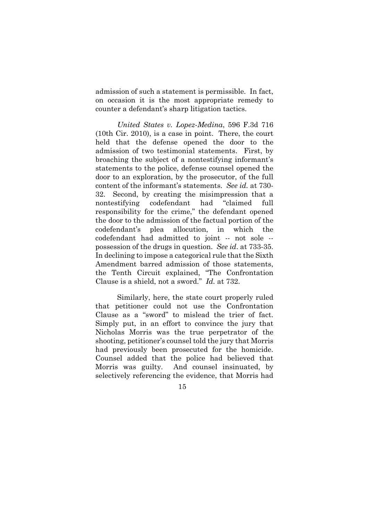admission of such a statement is permissible. In fact, on occasion it is the most appropriate remedy to counter a defendant's sharp litigation tactics.

*United States v. Lopez-Medina*, 596 F.3d 716 (10th Cir. 2010), is a case in point. There, the court held that the defense opened the door to the admission of two testimonial statements. First, by broaching the subject of a nontestifying informant's statements to the police, defense counsel opened the door to an exploration, by the prosecutor, of the full content of the informant's statements. *See id.* at 730- 32. Second, by creating the misimpression that a nontestifying codefendant had "claimed full responsibility for the crime," the defendant opened the door to the admission of the factual portion of the codefendant's plea allocution, in which the codefendant had admitted to joint -- not sole - possession of the drugs in question. *See id*. at 733-35. In declining to impose a categorical rule that the Sixth Amendment barred admission of those statements, the Tenth Circuit explained, "The Confrontation Clause is a shield, not a sword." *Id.* at 732.

Similarly, here, the state court properly ruled that petitioner could not use the Confrontation Clause as a "sword" to mislead the trier of fact. Simply put, in an effort to convince the jury that Nicholas Morris was the true perpetrator of the shooting, petitioner's counsel told the jury that Morris had previously been prosecuted for the homicide. Counsel added that the police had believed that Morris was guilty. And counsel insinuated, by selectively referencing the evidence, that Morris had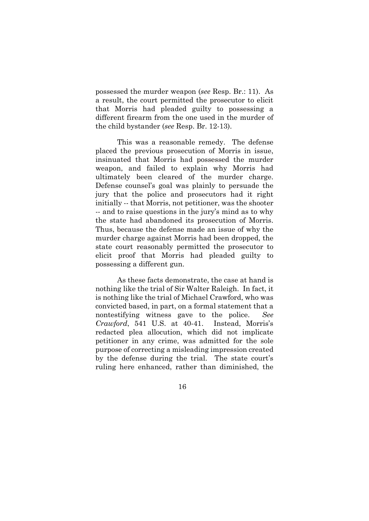possessed the murder weapon (*see* Resp. Br.: 11). As a result, the court permitted the prosecutor to elicit that Morris had pleaded guilty to possessing a different firearm from the one used in the murder of the child bystander (*see* Resp. Br. 12-13).

This was a reasonable remedy. The defense placed the previous prosecution of Morris in issue, insinuated that Morris had possessed the murder weapon, and failed to explain why Morris had ultimately been cleared of the murder charge. Defense counsel's goal was plainly to persuade the jury that the police and prosecutors had it right initially -- that Morris, not petitioner, was the shooter -- and to raise questions in the jury's mind as to why the state had abandoned its prosecution of Morris. Thus, because the defense made an issue of why the murder charge against Morris had been dropped, the state court reasonably permitted the prosecutor to elicit proof that Morris had pleaded guilty to possessing a different gun.

As these facts demonstrate, the case at hand is nothing like the trial of Sir Walter Raleigh. In fact, it is nothing like the trial of Michael Crawford, who was convicted based, in part, on a formal statement that a nontestifying witness gave to the police. *See Crawford*, 541 U.S. at 40-41. Instead, Morris's redacted plea allocution, which did not implicate petitioner in any crime, was admitted for the sole purpose of correcting a misleading impression created by the defense during the trial. The state court's ruling here enhanced, rather than diminished, the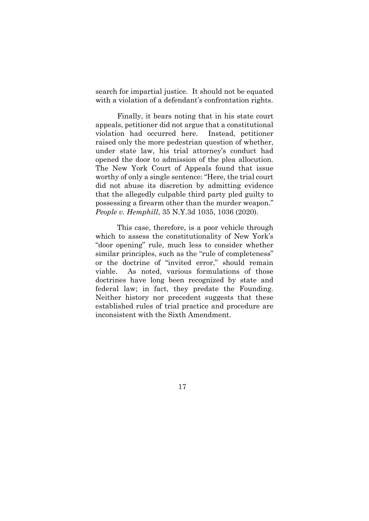search for impartial justice. It should not be equated with a violation of a defendant's confrontation rights.

Finally, it bears noting that in his state court appeals, petitioner did not argue that a constitutional violation had occurred here. Instead, petitioner raised only the more pedestrian question of whether, under state law, his trial attorney's conduct had opened the door to admission of the plea allocution. The New York Court of Appeals found that issue worthy of only a single sentence: "Here, the trial court did not abuse its discretion by admitting evidence that the allegedly culpable third party pled guilty to possessing a firearm other than the murder weapon." *People v. Hemphill*, 35 N.Y.3d 1035, 1036 (2020).

This case, therefore, is a poor vehicle through which to assess the constitutionality of New York's "door opening" rule, much less to consider whether similar principles, such as the "rule of completeness" or the doctrine of "invited error," should remain viable. As noted, various formulations of those doctrines have long been recognized by state and federal law; in fact, they predate the Founding. Neither history nor precedent suggests that these established rules of trial practice and procedure are inconsistent with the Sixth Amendment.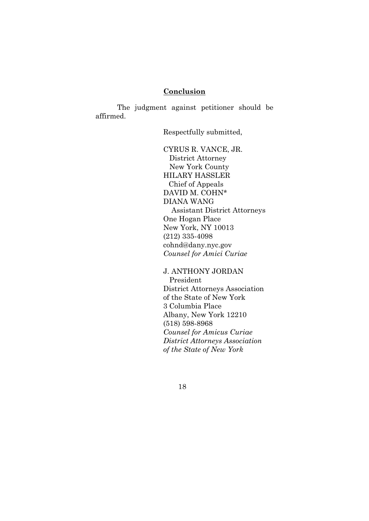#### **Conclusion**

The judgment against petitioner should be affirmed.

Respectfully submitted,

CYRUS R. VANCE, JR. District Attorney New York County HILARY HASSLER Chief of Appeals DAVID M. COHN\* DIANA WANG Assistant District Attorneys One Hogan Place New York, NY 10013 (212) 335-4098 cohnd@dany.nyc.gov *Counsel for Amici Curiae*

J. ANTHONY JORDAN President District Attorneys Association of the State of New York

3 Columbia Place Albany, New York 12210 (518) 598-8968 *Counsel for Amicus Curiae District Attorneys Association of the State of New York*